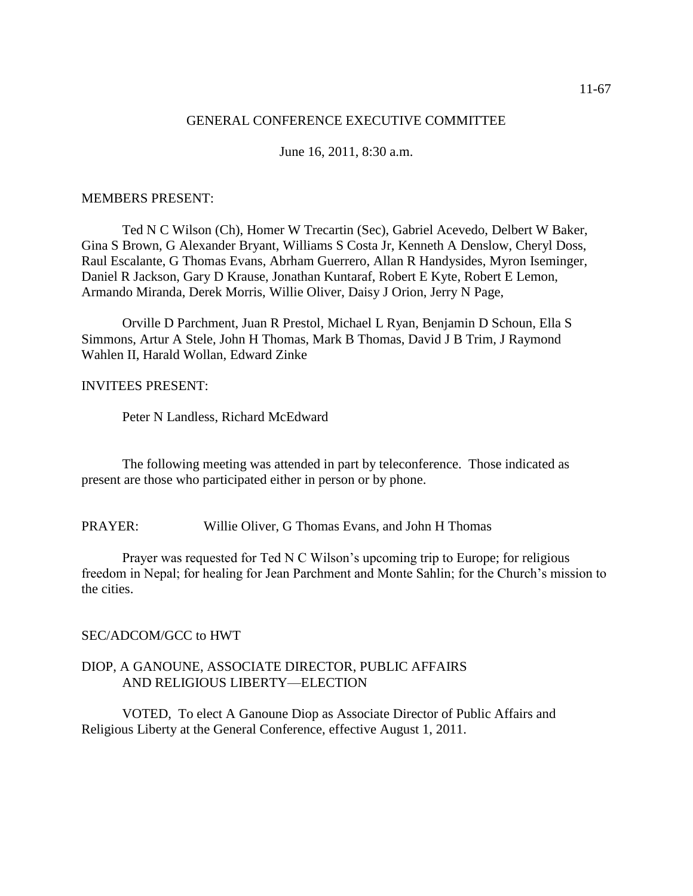#### GENERAL CONFERENCE EXECUTIVE COMMITTEE

June 16, 2011, 8:30 a.m.

#### MEMBERS PRESENT:

Ted N C Wilson (Ch), Homer W Trecartin (Sec), Gabriel Acevedo, Delbert W Baker, Gina S Brown, G Alexander Bryant, Williams S Costa Jr, Kenneth A Denslow, Cheryl Doss, Raul Escalante, G Thomas Evans, Abrham Guerrero, Allan R Handysides, Myron Iseminger, Daniel R Jackson, Gary D Krause, Jonathan Kuntaraf, Robert E Kyte, Robert E Lemon, Armando Miranda, Derek Morris, Willie Oliver, Daisy J Orion, Jerry N Page,

Orville D Parchment, Juan R Prestol, Michael L Ryan, Benjamin D Schoun, Ella S Simmons, Artur A Stele, John H Thomas, Mark B Thomas, David J B Trim, J Raymond Wahlen II, Harald Wollan, Edward Zinke

#### INVITEES PRESENT:

Peter N Landless, Richard McEdward

The following meeting was attended in part by teleconference. Those indicated as present are those who participated either in person or by phone.

PRAYER: Willie Oliver, G Thomas Evans, and John H Thomas

Prayer was requested for Ted N C Wilson's upcoming trip to Europe; for religious freedom in Nepal; for healing for Jean Parchment and Monte Sahlin; for the Church's mission to the cities.

#### SEC/ADCOM/GCC to HWT

#### DIOP, A GANOUNE, ASSOCIATE DIRECTOR, PUBLIC AFFAIRS AND RELIGIOUS LIBERTY—ELECTION

VOTED, To elect A Ganoune Diop as Associate Director of Public Affairs and Religious Liberty at the General Conference, effective August 1, 2011.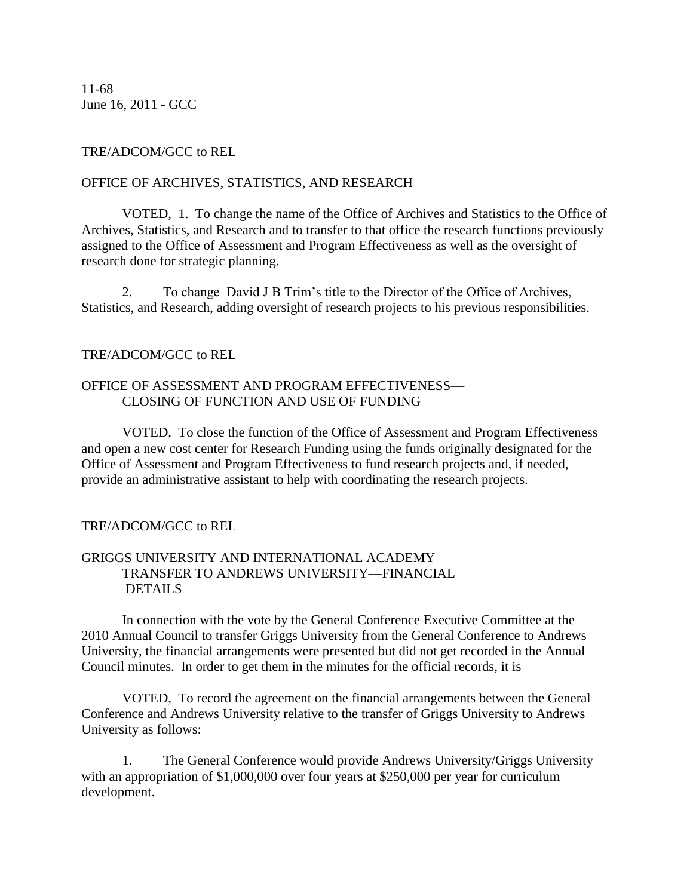11-68 June 16, 2011 - GCC

# TRE/ADCOM/GCC to REL

#### OFFICE OF ARCHIVES, STATISTICS, AND RESEARCH

VOTED, 1. To change the name of the Office of Archives and Statistics to the Office of Archives, Statistics, and Research and to transfer to that office the research functions previously assigned to the Office of Assessment and Program Effectiveness as well as the oversight of research done for strategic planning.

2. To change David J B Trim's title to the Director of the Office of Archives, Statistics, and Research, adding oversight of research projects to his previous responsibilities.

# TRE/ADCOM/GCC to REL

#### OFFICE OF ASSESSMENT AND PROGRAM EFFECTIVENESS— CLOSING OF FUNCTION AND USE OF FUNDING

VOTED, To close the function of the Office of Assessment and Program Effectiveness and open a new cost center for Research Funding using the funds originally designated for the Office of Assessment and Program Effectiveness to fund research projects and, if needed, provide an administrative assistant to help with coordinating the research projects.

# TRE/ADCOM/GCC to REL

# GRIGGS UNIVERSITY AND INTERNATIONAL ACADEMY TRANSFER TO ANDREWS UNIVERSITY—FINANCIAL DETAILS

In connection with the vote by the General Conference Executive Committee at the 2010 Annual Council to transfer Griggs University from the General Conference to Andrews University, the financial arrangements were presented but did not get recorded in the Annual Council minutes. In order to get them in the minutes for the official records, it is

VOTED, To record the agreement on the financial arrangements between the General Conference and Andrews University relative to the transfer of Griggs University to Andrews University as follows:

1. The General Conference would provide Andrews University/Griggs University with an appropriation of \$1,000,000 over four years at \$250,000 per year for curriculum development.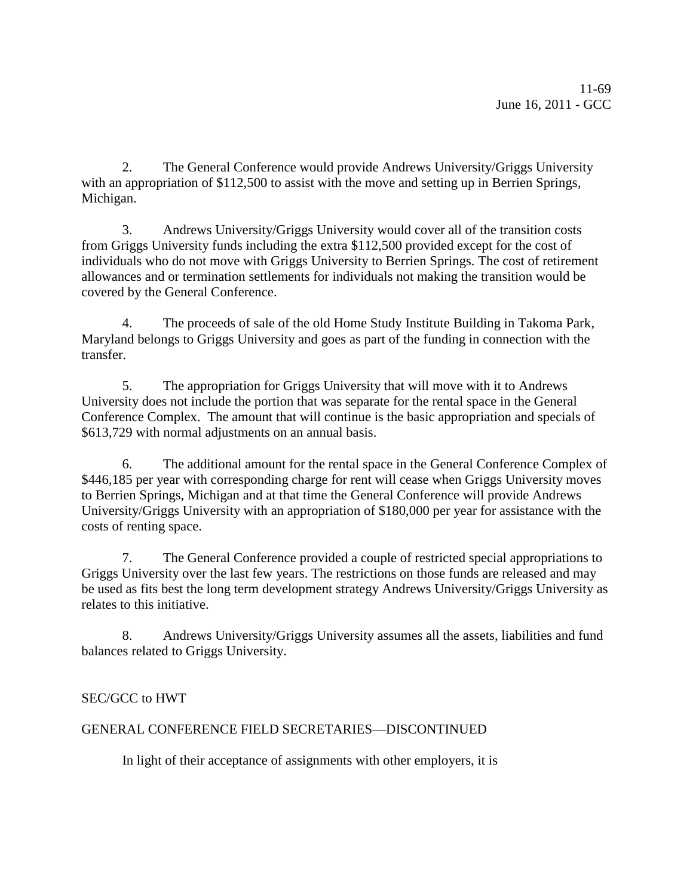2. The General Conference would provide Andrews University/Griggs University with an appropriation of \$112,500 to assist with the move and setting up in Berrien Springs, Michigan.

3. Andrews University/Griggs University would cover all of the transition costs from Griggs University funds including the extra \$112,500 provided except for the cost of individuals who do not move with Griggs University to Berrien Springs. The cost of retirement allowances and or termination settlements for individuals not making the transition would be covered by the General Conference.

4. The proceeds of sale of the old Home Study Institute Building in Takoma Park, Maryland belongs to Griggs University and goes as part of the funding in connection with the transfer.

5. The appropriation for Griggs University that will move with it to Andrews University does not include the portion that was separate for the rental space in the General Conference Complex. The amount that will continue is the basic appropriation and specials of \$613,729 with normal adjustments on an annual basis.

6. The additional amount for the rental space in the General Conference Complex of \$446,185 per year with corresponding charge for rent will cease when Griggs University moves to Berrien Springs, Michigan and at that time the General Conference will provide Andrews University/Griggs University with an appropriation of \$180,000 per year for assistance with the costs of renting space.

7. The General Conference provided a couple of restricted special appropriations to Griggs University over the last few years. The restrictions on those funds are released and may be used as fits best the long term development strategy Andrews University/Griggs University as relates to this initiative.

8. Andrews University/Griggs University assumes all the assets, liabilities and fund balances related to Griggs University.

# SEC/GCC to HWT

# GENERAL CONFERENCE FIELD SECRETARIES—DISCONTINUED

In light of their acceptance of assignments with other employers, it is